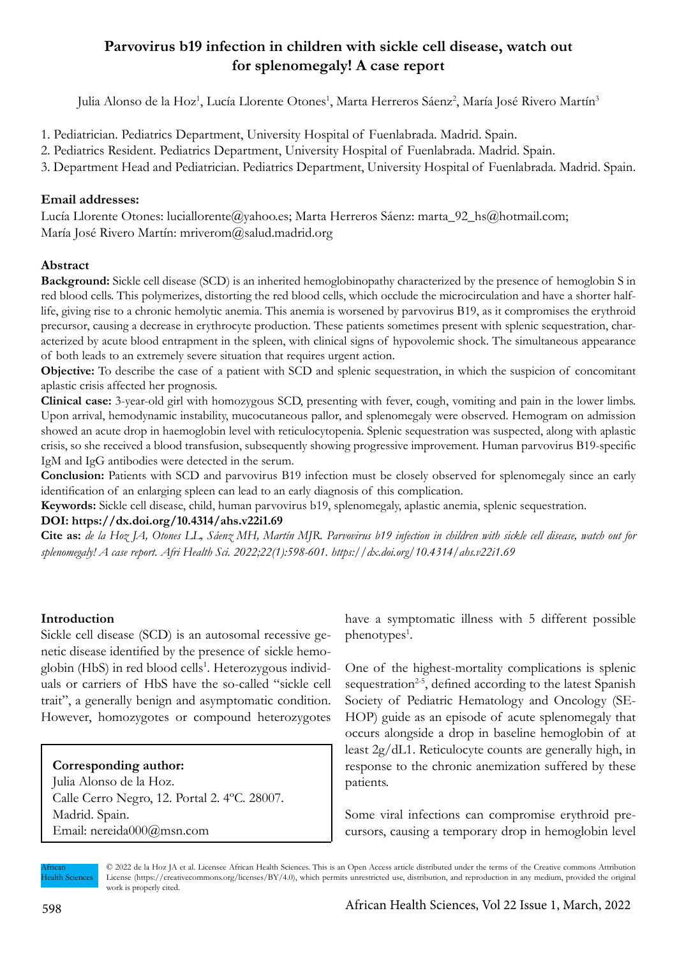# **Parvovirus b19 infection in children with sickle cell disease, watch out for splenomegaly! A case report**

Julia Alonso de la Hoz<sup>1</sup>, Lucía Llorente Otones<sup>1</sup>, Marta Herreros Sáenz<sup>2</sup>, María José Rivero Martín<sup>3</sup>

- 1. Pediatrician. Pediatrics Department, University Hospital of Fuenlabrada. Madrid. Spain.
- 2. Pediatrics Resident. Pediatrics Department, University Hospital of Fuenlabrada. Madrid. Spain.
- 3. Department Head and Pediatrician. Pediatrics Department, University Hospital of Fuenlabrada. Madrid. Spain.

# **Email addresses:**

Lucía Llorente Otones: luciallorente@yahoo.es; Marta Herreros Sáenz: marta\_92\_hs@hotmail.com; María José Rivero Martín: mriverom@salud.madrid.org

# **Abstract**

**Background:** Sickle cell disease (SCD) is an inherited hemoglobinopathy characterized by the presence of hemoglobin S in red blood cells. This polymerizes, distorting the red blood cells, which occlude the microcirculation and have a shorter halflife, giving rise to a chronic hemolytic anemia. This anemia is worsened by parvovirus B19, as it compromises the erythroid precursor, causing a decrease in erythrocyte production. These patients sometimes present with splenic sequestration, characterized by acute blood entrapment in the spleen, with clinical signs of hypovolemic shock. The simultaneous appearance of both leads to an extremely severe situation that requires urgent action.

**Objective:** To describe the case of a patient with SCD and splenic sequestration, in which the suspicion of concomitant aplastic crisis affected her prognosis.

**Clinical case:** 3-year-old girl with homozygous SCD, presenting with fever, cough, vomiting and pain in the lower limbs. Upon arrival, hemodynamic instability, mucocutaneous pallor, and splenomegaly were observed. Hemogram on admission showed an acute drop in haemoglobin level with reticulocytopenia. Splenic sequestration was suspected, along with aplastic crisis, so she received a blood transfusion, subsequently showing progressive improvement. Human parvovirus B19-specific IgM and IgG antibodies were detected in the serum.

**Conclusion:** Patients with SCD and parvovirus B19 infection must be closely observed for splenomegaly since an early identification of an enlarging spleen can lead to an early diagnosis of this complication.

**Keywords:** Sickle cell disease, child, human parvovirus b19, splenomegaly, aplastic anemia, splenic sequestration.

### **DOI: https://dx.doi.org/10.4314/ahs.v22i1.69**

**Cite as:** *de la Hoz JA, Otones LL, Sáenz MH, Martín MJR. Parvovirus b19 infection in children with sickle cell disease, watch out for splenomegaly! A case report. Afri Health Sci. 2022;22(1):598-601. https://dx.doi.org/10.4314/ahs.v22i1.69*

## **Introduction**

Sickle cell disease (SCD) is an autosomal recessive genetic disease identified by the presence of sickle hemoglobin (HbS) in red blood cells<sup>1</sup>. Heterozygous individuals or carriers of HbS have the so-called "sickle cell trait", a generally benign and asymptomatic condition. However, homozygotes or compound heterozygotes

# **Corresponding author:**

Julia Alonso de la Hoz. Calle Cerro Negro, 12. Portal 2. 4ºC. 28007. Madrid. Spain. Email: nereida000@msn.com

have a symptomatic illness with 5 different possible phenotypes<sup>1</sup>.

One of the highest-mortality complications is splenic sequestration<sup>2-5</sup>, defined according to the latest Spanish Society of Pediatric Hematology and Oncology (SE-HOP) guide as an episode of acute splenomegaly that occurs alongside a drop in baseline hemoglobin of at least 2g/dL1. Reticulocyte counts are generally high, in response to the chronic anemization suffered by these patients.

Some viral infections can compromise erythroid precursors, causing a temporary drop in hemoglobin level

African Health Sciences © 2022 de la Hoz JA et al. Licensee African Health Sciences. This is an Open Access article distributed under the terms of the Creative commons Attribution License (https://creativecommons.org/licenses/BY/4.0), which permits unrestricted use, distribution, and reproduction in any medium, provided the original work is properly cited.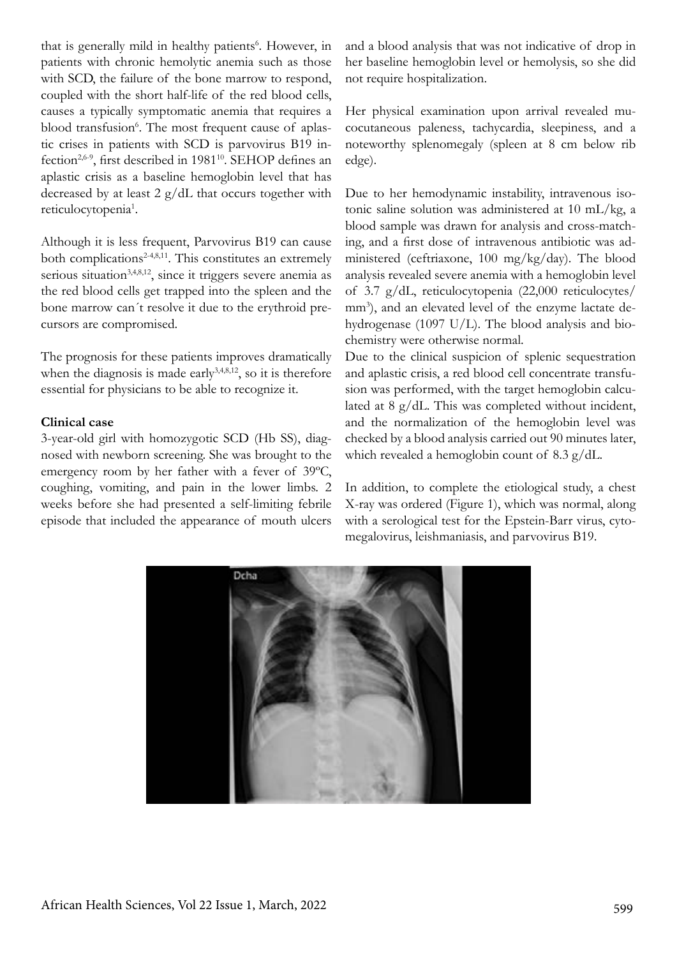that is generally mild in healthy patients<sup>6</sup>. However, in patients with chronic hemolytic anemia such as those with SCD, the failure of the bone marrow to respond, coupled with the short half-life of the red blood cells, causes a typically symptomatic anemia that requires a blood transfusion<sup>6</sup>. The most frequent cause of aplastic crises in patients with SCD is parvovirus B19 infection<sup>2,6-9</sup>, first described in 1981<sup>10</sup>. SEHOP defines an aplastic crisis as a baseline hemoglobin level that has decreased by at least  $2 g/dL$  that occurs together with reticulocytopenia<sup>1</sup>.

Although it is less frequent, Parvovirus B19 can cause both complications<sup>2-4,8,11</sup>. This constitutes an extremely serious situation<sup>3,4,8,12</sup>, since it triggers severe anemia as the red blood cells get trapped into the spleen and the bone marrow can´t resolve it due to the erythroid precursors are compromised.

The prognosis for these patients improves dramatically when the diagnosis is made early $3,4,8,12$ , so it is therefore essential for physicians to be able to recognize it.

#### **Clinical case**

3-year-old girl with homozygotic SCD (Hb SS), diagnosed with newborn screening. She was brought to the emergency room by her father with a fever of 39ºC, coughing, vomiting, and pain in the lower limbs. 2 weeks before she had presented a self-limiting febrile episode that included the appearance of mouth ulcers and a blood analysis that was not indicative of drop in her baseline hemoglobin level or hemolysis, so she did not require hospitalization.

Her physical examination upon arrival revealed mucocutaneous paleness, tachycardia, sleepiness, and a noteworthy splenomegaly (spleen at 8 cm below rib edge).

Due to her hemodynamic instability, intravenous isotonic saline solution was administered at 10 mL/kg, a blood sample was drawn for analysis and cross-matching, and a first dose of intravenous antibiotic was administered (ceftriaxone, 100 mg/kg/day). The blood analysis revealed severe anemia with a hemoglobin level of 3.7 g/dL, reticulocytopenia (22,000 reticulocytes/ mm<sup>3</sup>), and an elevated level of the enzyme lactate dehydrogenase (1097 U/L). The blood analysis and biochemistry were otherwise normal.

Due to the clinical suspicion of splenic sequestration and aplastic crisis, a red blood cell concentrate transfusion was performed, with the target hemoglobin calculated at 8 g/dL. This was completed without incident, and the normalization of the hemoglobin level was checked by a blood analysis carried out 90 minutes later, which revealed a hemoglobin count of 8.3 g/dL.

In addition, to complete the etiological study, a chest X-ray was ordered (Figure 1), which was normal, along with a serological test for the Epstein-Barr virus, cytomegalovirus, leishmaniasis, and parvovirus B19.

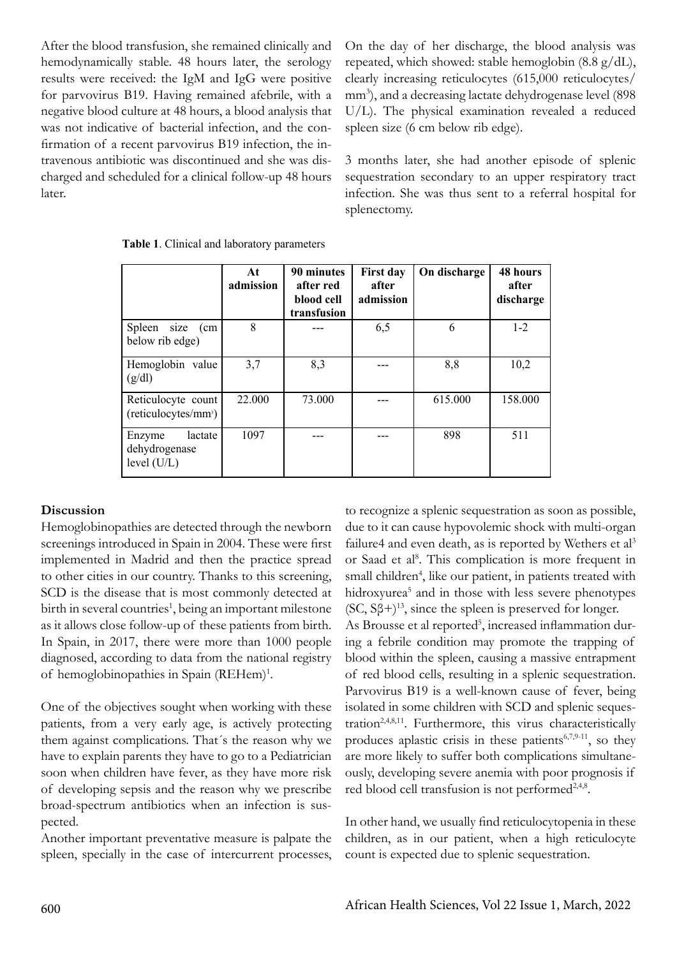After the blood transfusion, she remained clinically and hemodynamically stable. 48 hours later, the serology results were received: the IgM and IgG were positive for parvovirus B19. Having remained afebrile, with a negative blood culture at 48 hours, a blood analysis that was not indicative of bacterial infection, and the confirmation of a recent parvovirus B19 infection, the intravenous antibiotic was discontinued and she was discharged and scheduled for a clinical follow-up 48 hours later.

On the day of her discharge, the blood analysis was repeated, which showed: stable hemoglobin (8.8 g/dL), clearly increasing reticulocytes (615,000 reticulocytes/ mm<sup>3</sup>), and a decreasing lactate dehydrogenase level (898 U/L). The physical examination revealed a reduced spleen size (6 cm below rib edge).

3 months later, she had another episode of splenic sequestration secondary to an upper respiratory tract infection. She was thus sent to a referral hospital for splenectomy.

|                                                        | At<br>admission | 90 minutes<br>after red<br>blood cell<br>transfusion | <b>First day</b><br>after<br>admission | On discharge | <b>48 hours</b><br>after<br>discharge |
|--------------------------------------------------------|-----------------|------------------------------------------------------|----------------------------------------|--------------|---------------------------------------|
| Spleen size<br>(cm<br>below rib edge)                  | 8               |                                                      | 6,5                                    | 6            | $1 - 2$                               |
| Hemoglobin value<br>(g/dl)                             | 3,7             | 8,3                                                  |                                        | 8,8          | 10,2                                  |
| Reticulocyte count<br>(reticulocytes/mm <sup>3</sup> ) | 22.000          | 73.000                                               |                                        | 615.000      | 158.000                               |
| lactate<br>Enzyme<br>dehydrogenase<br>level $(U/L)$    | 1097            |                                                      |                                        | 898          | 511                                   |

**Table 1**. Clinical and laboratory parameters

### **Discussion**

Hemoglobinopathies are detected through the newborn screenings introduced in Spain in 2004. These were first implemented in Madrid and then the practice spread to other cities in our country. Thanks to this screening, SCD is the disease that is most commonly detected at birth in several countries<sup>1</sup>, being an important milestone as it allows close follow-up of these patients from birth. In Spain, in 2017, there were more than 1000 people diagnosed, according to data from the national registry of hemoglobinopathies in Spain (REHem)<sup>1</sup>.

One of the objectives sought when working with these patients, from a very early age, is actively protecting them against complications. That´s the reason why we have to explain parents they have to go to a Pediatrician soon when children have fever, as they have more risk of developing sepsis and the reason why we prescribe broad-spectrum antibiotics when an infection is suspected.

Another important preventative measure is palpate the spleen, specially in the case of intercurrent processes,

to recognize a splenic sequestration as soon as possible, due to it can cause hypovolemic shock with multi-organ failure4 and even death, as is reported by Wethers et al<sup>3</sup> or Saad et al<sup>8</sup>. This complication is more frequent in small children<sup>4</sup>, like our patient, in patients treated with hidroxyurea<sup>5</sup> and in those with less severe phenotypes  $(SC, S\beta+)$ <sup>13</sup>, since the spleen is preserved for longer.

As Brousse et al reported<sup>5</sup>, increased inflammation during a febrile condition may promote the trapping of blood within the spleen, causing a massive entrapment of red blood cells, resulting in a splenic sequestration. Parvovirus B19 is a well-known cause of fever, being isolated in some children with SCD and splenic sequestration<sup>2,4,8,11</sup>. Furthermore, this virus characteristically produces aplastic crisis in these patients $6,7,9-11$ , so they are more likely to suffer both complications simultaneously, developing severe anemia with poor prognosis if red blood cell transfusion is not performed<sup>2,4,8</sup>.

In other hand, we usually find reticulocytopenia in these children, as in our patient, when a high reticulocyte count is expected due to splenic sequestration.